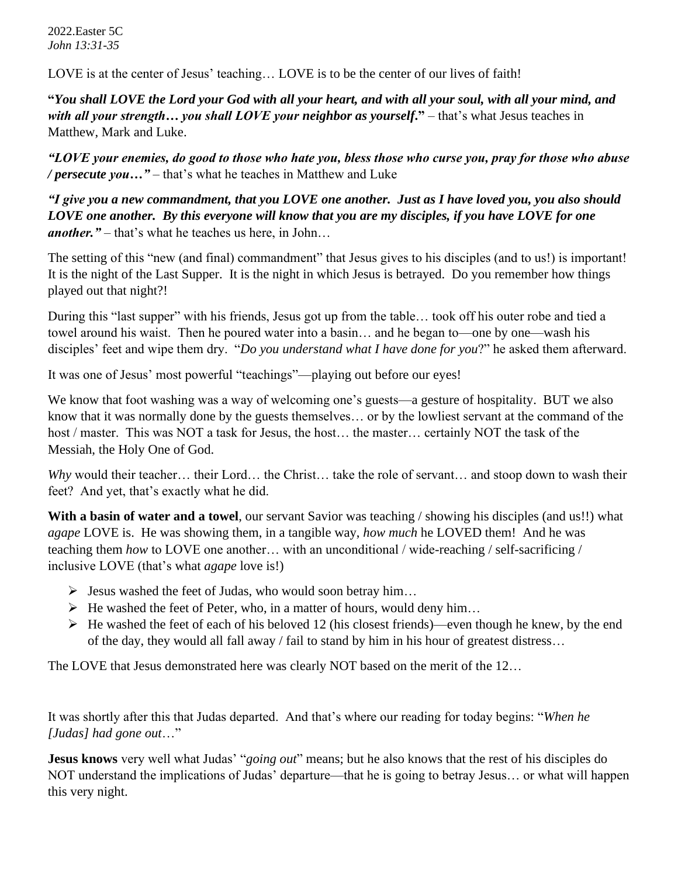2022.Easter 5C *John 13:31-35*

LOVE is at the center of Jesus' teaching... LOVE is to be the center of our lives of faith!

**"***You shall LOVE the Lord your God with all your heart, and with all your soul, with all your mind, and with all your strength… you shall LOVE your neighbor as yourself***."** – that's what Jesus teaches in Matthew, Mark and Luke.

*"LOVE your enemies, do good to those who hate you, bless those who curse you, pray for those who abuse / persecute you…"* – that's what he teaches in Matthew and Luke

*"I give you a new commandment, that you LOVE one another. Just as I have loved you, you also should LOVE one another. By this everyone will know that you are my disciples, if you have LOVE for one another."* – that's what he teaches us here, in John…

The setting of this "new (and final) commandment" that Jesus gives to his disciples (and to us!) is important! It is the night of the Last Supper. It is the night in which Jesus is betrayed. Do you remember how things played out that night?!

During this "last supper" with his friends, Jesus got up from the table… took off his outer robe and tied a towel around his waist. Then he poured water into a basin… and he began to—one by one—wash his disciples' feet and wipe them dry. "*Do you understand what I have done for you*?" he asked them afterward.

It was one of Jesus' most powerful "teachings"—playing out before our eyes!

We know that foot washing was a way of welcoming one's guests—a gesture of hospitality. BUT we also know that it was normally done by the guests themselves… or by the lowliest servant at the command of the host / master. This was NOT a task for Jesus, the host... the master... certainly NOT the task of the Messiah, the Holy One of God.

*Why* would their teacher… their Lord… the Christ… take the role of servant… and stoop down to wash their feet? And yet, that's exactly what he did.

**With a basin of water and a towel**, our servant Savior was teaching / showing his disciples (and us!!) what *agape* LOVE is. He was showing them, in a tangible way, *how much* he LOVED them! And he was teaching them *how* to LOVE one another… with an unconditional / wide-reaching / self-sacrificing / inclusive LOVE (that's what *agape* love is!)

- $\triangleright$  Jesus washed the feet of Judas, who would soon betray him...
- $\triangleright$  He washed the feet of Peter, who, in a matter of hours, would deny him...
- $\triangleright$  He washed the feet of each of his beloved 12 (his closest friends)—even though he knew, by the end of the day, they would all fall away / fail to stand by him in his hour of greatest distress…

The LOVE that Jesus demonstrated here was clearly NOT based on the merit of the 12...

It was shortly after this that Judas departed. And that's where our reading for today begins: "*When he [Judas] had gone out*…"

**Jesus knows** very well what Judas' "*going out*" means; but he also knows that the rest of his disciples do NOT understand the implications of Judas' departure—that he is going to betray Jesus… or what will happen this very night.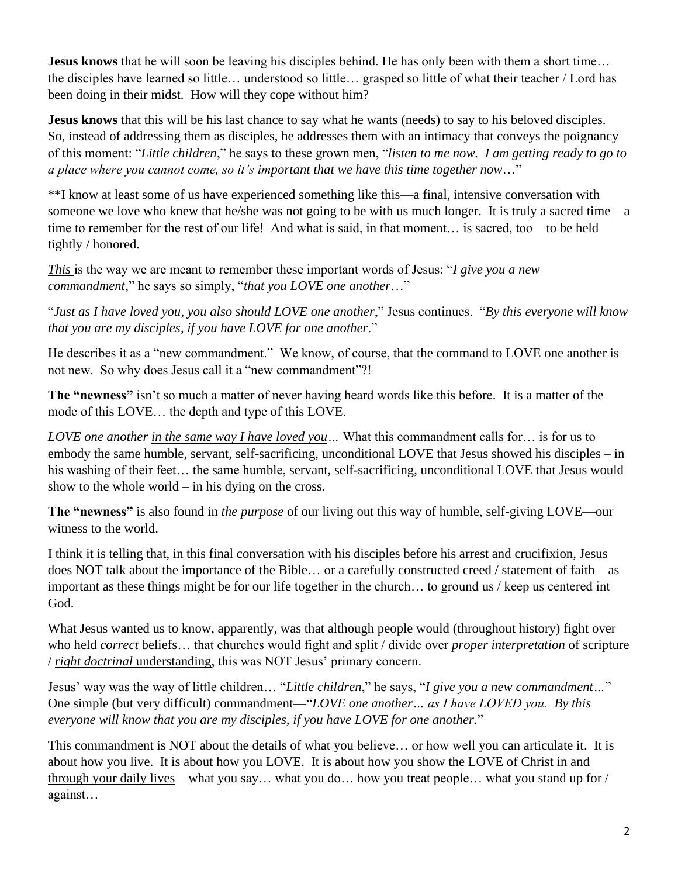**Jesus knows** that he will soon be leaving his disciples behind. He has only been with them a short time... the disciples have learned so little… understood so little… grasped so little of what their teacher / Lord has been doing in their midst. How will they cope without him?

**Jesus knows** that this will be his last chance to say what he wants (needs) to say to his beloved disciples. So, instead of addressing them as disciples, he addresses them with an intimacy that conveys the poignancy of this moment: "*Little children*," he says to these grown men, "*listen to me now. I am getting ready to go to a place where you cannot come, so it's important that we have this time together now*…"

\*\*I know at least some of us have experienced something like this—a final, intensive conversation with someone we love who knew that he/she was not going to be with us much longer. It is truly a sacred time—a time to remember for the rest of our life! And what is said, in that moment… is sacred, too—to be held tightly / honored.

*This* is the way we are meant to remember these important words of Jesus: "*I give you a new commandment*," he says so simply, "*that you LOVE one another*…"

"*Just as I have loved you, you also should LOVE one another*," Jesus continues. "*By this everyone will know that you are my disciples, if you have LOVE for one another*."

He describes it as a "new commandment." We know, of course, that the command to LOVE one another is not new. So why does Jesus call it a "new commandment"?!

**The "newness"** isn't so much a matter of never having heard words like this before. It is a matter of the mode of this LOVE… the depth and type of this LOVE.

*LOVE one another in the same way I have loved you…* What this commandment calls for… is for us to embody the same humble, servant, self-sacrificing, unconditional LOVE that Jesus showed his disciples – in his washing of their feet... the same humble, servant, self-sacrificing, unconditional LOVE that Jesus would show to the whole world – in his dying on the cross.

**The "newness"** is also found in *the purpose* of our living out this way of humble, self-giving LOVE—our witness to the world.

I think it is telling that, in this final conversation with his disciples before his arrest and crucifixion, Jesus does NOT talk about the importance of the Bible… or a carefully constructed creed / statement of faith—as important as these things might be for our life together in the church… to ground us / keep us centered int God.

What Jesus wanted us to know, apparently, was that although people would (throughout history) fight over who held *correct* beliefs… that churches would fight and split / divide over *proper interpretation* of scripture / *right doctrinal* understanding, this was NOT Jesus' primary concern.

Jesus' way was the way of little children… "*Little children*," he says, "*I give you a new commandment…*" One simple (but very difficult) commandment—"*LOVE one another… as I have LOVED you. By this everyone will know that you are my disciples, if you have LOVE for one another.*"

This commandment is NOT about the details of what you believe… or how well you can articulate it. It is about how you live. It is about how you LOVE. It is about how you show the LOVE of Christ in and through your daily lives—what you say… what you do… how you treat people… what you stand up for / against…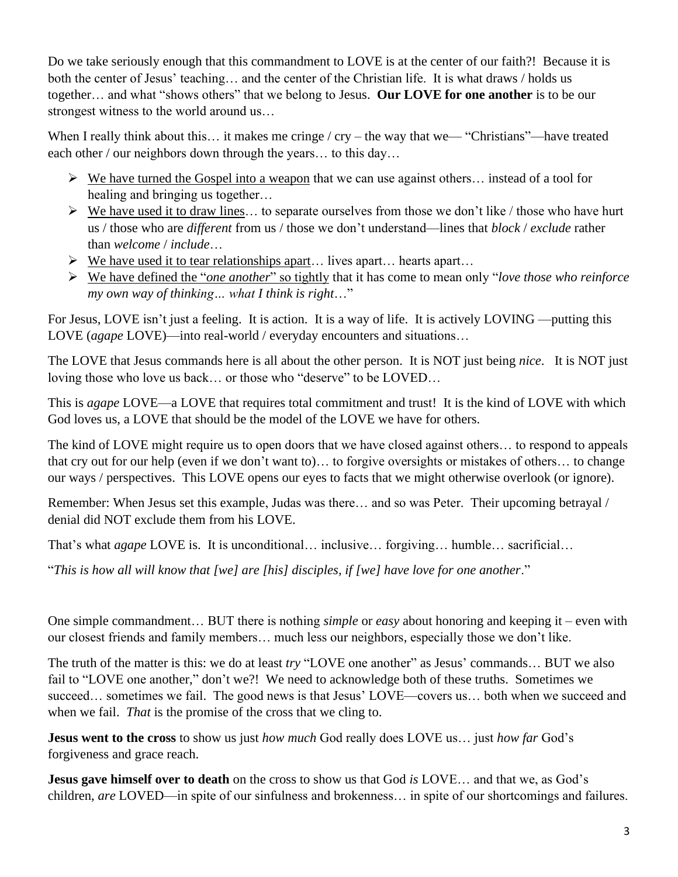Do we take seriously enough that this commandment to LOVE is at the center of our faith?! Because it is both the center of Jesus' teaching… and the center of the Christian life. It is what draws / holds us together… and what "shows others" that we belong to Jesus. **Our LOVE for one another** is to be our strongest witness to the world around us…

When I really think about this... it makes me cringe / cry – the way that we— "Christians"—have treated each other / our neighbors down through the years... to this day...

- $\triangleright$  We have turned the Gospel into a weapon that we can use against others... instead of a tool for healing and bringing us together…
- $\triangleright$  We have used it to draw lines... to separate ourselves from those we don't like / those who have hurt us / those who are *different* from us / those we don't understand—lines that *block* / *exclude* rather than *welcome* / *include*…
- $\triangleright$  We have used it to tear relationships apart... lives apart... hearts apart...
- ➢ We have defined the "*one another*" so tightly that it has come to mean only "*love those who reinforce my own way of thinking… what I think is right*…"

For Jesus, LOVE isn't just a feeling. It is action. It is a way of life. It is actively LOVING —putting this LOVE (*agape* LOVE)—into real-world / everyday encounters and situations…

The LOVE that Jesus commands here is all about the other person. It is NOT just being *nice*. It is NOT just loving those who love us back… or those who "deserve" to be LOVED…

This is *agape* LOVE—a LOVE that requires total commitment and trust! It is the kind of LOVE with which God loves us, a LOVE that should be the model of the LOVE we have for others.

The kind of LOVE might require us to open doors that we have closed against others… to respond to appeals that cry out for our help (even if we don't want to)… to forgive oversights or mistakes of others… to change our ways / perspectives. This LOVE opens our eyes to facts that we might otherwise overlook (or ignore).

Remember: When Jesus set this example, Judas was there… and so was Peter. Their upcoming betrayal / denial did NOT exclude them from his LOVE.

That's what *agape* LOVE is. It is unconditional… inclusive… forgiving… humble… sacrificial…

"*This is how all will know that [we] are [his] disciples, if [we] have love for one another*."

One simple commandment… BUT there is nothing *simple* or *easy* about honoring and keeping it – even with our closest friends and family members… much less our neighbors, especially those we don't like.

The truth of the matter is this: we do at least *try* "LOVE one another" as Jesus' commands… BUT we also fail to "LOVE one another," don't we?! We need to acknowledge both of these truths. Sometimes we succeed... sometimes we fail. The good news is that Jesus' LOVE—covers us... both when we succeed and when we fail. *That* is the promise of the cross that we cling to.

**Jesus went to the cross** to show us just *how much* God really does LOVE us… just *how far* God's forgiveness and grace reach.

**Jesus gave himself over to death** on the cross to show us that God *is* LOVE… and that we, as God's children, *are* LOVED—in spite of our sinfulness and brokenness… in spite of our shortcomings and failures.